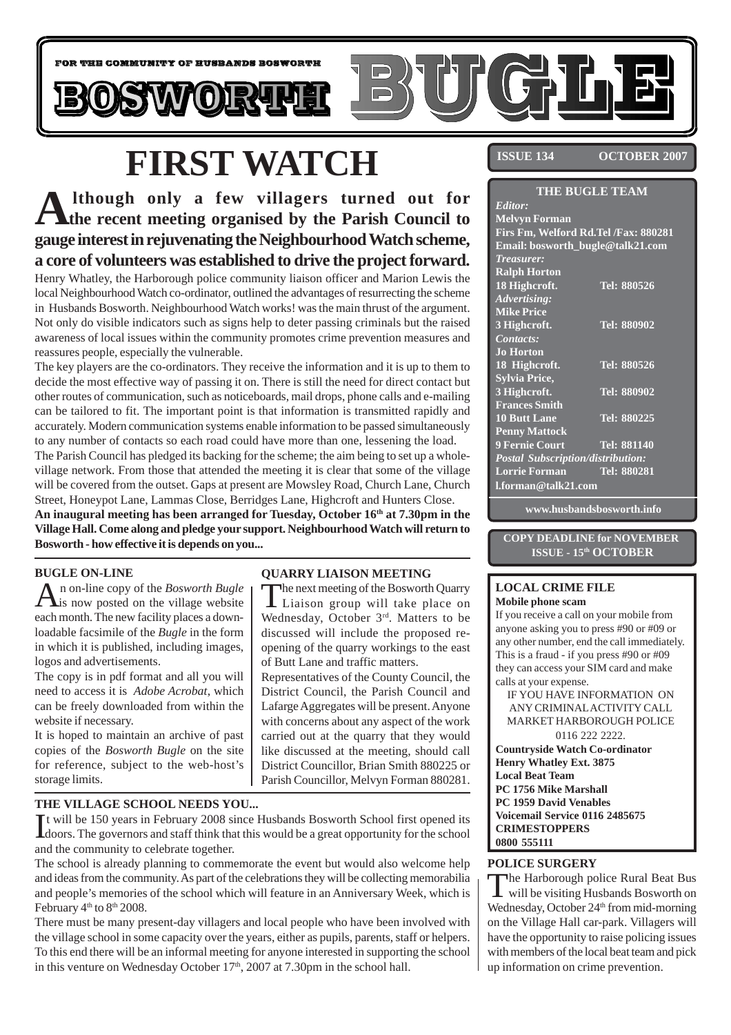

# **FIRST WATCH**

## **Although only a few villagers turned out for the recent meeting organised by the Parish Council to gauge interest in rejuvenating the Neighbourhood Watch scheme, a core of volunteers was established to drive the project forward.**

Henry Whatley, the Harborough police community liaison officer and Marion Lewis the local Neighbourhood Watch co-ordinator, outlined the advantages of resurrecting the scheme in Husbands Bosworth. Neighbourhood Watch works! was the main thrust of the argument. Not only do visible indicators such as signs help to deter passing criminals but the raised awareness of local issues within the community promotes crime prevention measures and reassures people, especially the vulnerable.

The key players are the co-ordinators. They receive the information and it is up to them to decide the most effective way of passing it on. There is still the need for direct contact but other routes of communication, such as noticeboards, mail drops, phone calls and e-mailing can be tailored to fit. The important point is that information is transmitted rapidly and accurately. Modern communication systems enable information to be passed simultaneously to any number of contacts so each road could have more than one, lessening the load.

The Parish Council has pledged its backing for the scheme; the aim being to set up a wholevillage network. From those that attended the meeting it is clear that some of the village will be covered from the outset. Gaps at present are Mowsley Road, Church Lane, Church Street, Honeypot Lane, Lammas Close, Berridges Lane, Highcroft and Hunters Close.

**An inaugural meeting has been arranged for Tuesday, October 16th at 7.30pm in the Village Hall. Come along and pledge your support. Neighbourhood Watch will return to Bosworth - how effective it is depends on you...**

### **BUGLE ON-LINE**

An on-line copy of the *Bosworth Bugle*<br>
is now posted on the village website each month. The new facility places a downloadable facsimile of the *Bugle* in the form in which it is published, including images, logos and advertisements.

The copy is in pdf format and all you will need to access it is *Adobe Acrobat*, which can be freely downloaded from within the website if necessary.

It is hoped to maintain an archive of past copies of the *Bosworth Bugle* on the site for reference, subject to the web-host's storage limits.

### **QUARRY LIAISON MEETING**

The next meeting of the Bosworth Quarry Liaison group will take place on Wednesday, October 3rd. Matters to be discussed will include the proposed reopening of the quarry workings to the east of Butt Lane and traffic matters.

Representatives of the County Council, the District Council, the Parish Council and Lafarge Aggregates will be present. Anyone with concerns about any aspect of the work carried out at the quarry that they would like discussed at the meeting, should call District Councillor, Brian Smith 880225 or Parish Councillor, Melvyn Forman 880281.

### **THE VILLAGE SCHOOL NEEDS YOU...**

It will be 150 years in February 2008 since Husbands Bosworth School first opened its doors. The governors and staff think that this would be a great opportunity for the school doors. The governors and staff think that this would be a great opportunity for the school and the community to celebrate together.

The school is already planning to commemorate the event but would also welcome help and ideas from the community. As part of the celebrations they will be collecting memorabilia and people's memories of the school which will feature in an Anniversary Week, which is February 4<sup>th</sup> to 8<sup>th</sup> 2008.

There must be many present-day villagers and local people who have been involved with the village school in some capacity over the years, either as pupils, parents, staff or helpers. To this end there will be an informal meeting for anyone interested in supporting the school in this venture on Wednesday October  $17<sup>th</sup>$ , 2007 at 7.30pm in the school hall.

**ISSUE 134 OCTOBER 2007**

| <b>THE BUGLE TEAM</b>                    |                    |  |
|------------------------------------------|--------------------|--|
| Editor:                                  |                    |  |
| <b>Melvyn Forman</b>                     |                    |  |
| Firs Fm, Welford Rd.Tel /Fax: 880281     |                    |  |
| Email: bosworth_bugle@talk21.com         |                    |  |
| <b>Treasurer:</b>                        |                    |  |
| <b>Ralph Horton</b>                      |                    |  |
| 18 Highcroft.                            | Tel: 880526        |  |
| Advertising:                             |                    |  |
| <b>Mike Price</b>                        |                    |  |
| 3 Highcroft.                             | Tel: 880902        |  |
| Contacts:                                |                    |  |
| <b>Jo Horton</b>                         |                    |  |
| 18 Highcroft.                            | Tel: 880526        |  |
| Sylvia Price,                            |                    |  |
| 3 Highcroft.                             | Tel: 880902        |  |
| <b>Frances Smith</b>                     |                    |  |
| <b>10 Butt Lane</b>                      | Tel: 880225        |  |
| <b>Penny Mattock</b>                     |                    |  |
| 9 Fernie Court                           | <b>Tel: 881140</b> |  |
| <b>Postal Subscription/distribution:</b> |                    |  |
| <b>Lorrie Forman</b>                     | Tel: 880281        |  |
| l.forman@talk21.com                      |                    |  |

**www.husbandsbosworth.info**

**COPY DEADLINE for NOVEMBER ISSUE - 15th OCTOBER**

### **LOCAL CRIME FILE Mobile phone scam**

If you receive a call on your mobile from anyone asking you to press #90 or #09 or any other number, end the call immediately. This is a fraud - if you press #90 or #09 they can access your SIM card and make calls at your expense.

IF YOU HAVE INFORMATION ON ANY CRIMINAL ACTIVITY CALL MARKET HARBOROUGH POLICE 0116 222 2222.

**Countryside Watch Co-ordinator Henry Whatley Ext. 3875 Local Beat Team PC 1756 Mike Marshall PC 1959 David Venables Voicemail Service 0116 2485675 CRIMESTOPPERS 0800 555111**

### **POLICE SURGERY**

The Harborough police Rural Beat Bus will be visiting Husbands Bosworth on Wednesday, October 24<sup>th</sup> from mid-morning on the Village Hall car-park. Villagers will have the opportunity to raise policing issues with members of the local beat team and pick up information on crime prevention.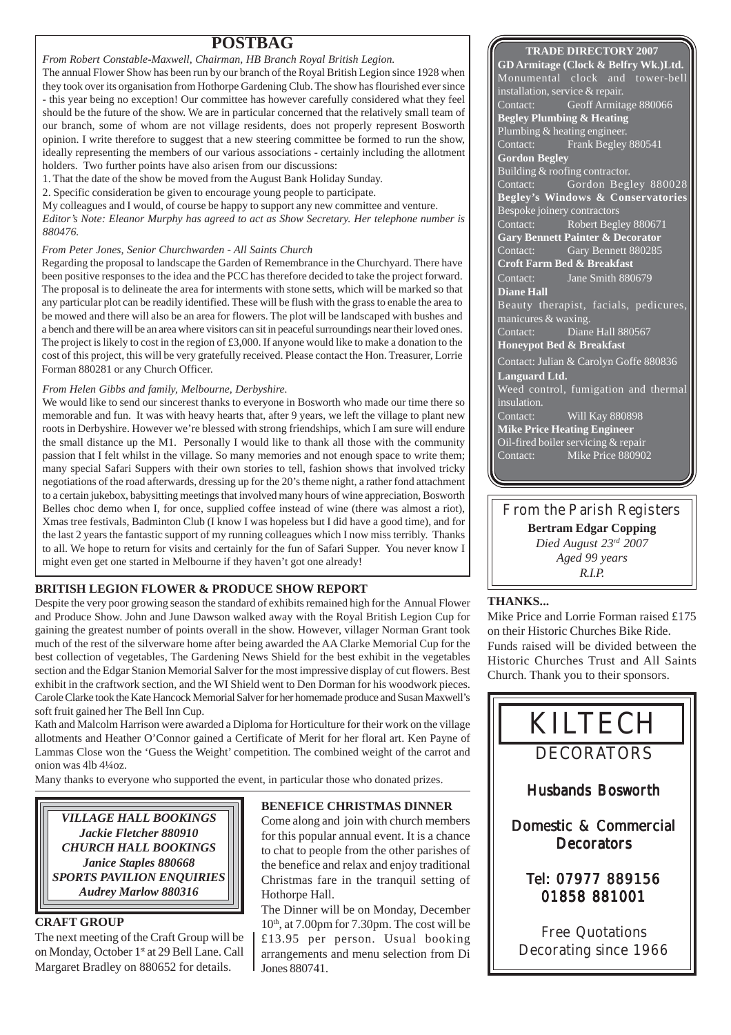*From Robert Constable-Maxwell, Chairman, HB Branch Royal British Legion.*

The annual Flower Show has been run by our branch of the Royal British Legion since 1928 when they took over its organisation from Hothorpe Gardening Club. The show has flourished ever since - this year being no exception! Our committee has however carefully considered what they feel should be the future of the show. We are in particular concerned that the relatively small team of our branch, some of whom are not village residents, does not properly represent Bosworth opinion. I write therefore to suggest that a new steering committee be formed to run the show, ideally representing the members of our various associations - certainly including the allotment holders. Two further points have also arisen from our discussions:

1. That the date of the show be moved from the August Bank Holiday Sunday.

2. Specific consideration be given to encourage young people to participate.

My colleagues and I would, of course be happy to support any new committee and venture.

*Editor's Note: Eleanor Murphy has agreed to act as Show Secretary. Her telephone number is 880476.*

### *From Peter Jones, Senior Churchwarden - All Saints Church*

Regarding the proposal to landscape the Garden of Remembrance in the Churchyard. There have been positive responses to the idea and the PCC has therefore decided to take the project forward. The proposal is to delineate the area for interments with stone setts, which will be marked so that any particular plot can be readily identified. These will be flush with the grass to enable the area to be mowed and there will also be an area for flowers. The plot will be landscaped with bushes and a bench and there will be an area where visitors can sit in peaceful surroundings near their loved ones. The project is likely to cost in the region of £3,000. If anyone would like to make a donation to the cost of this project, this will be very gratefully received. Please contact the Hon. Treasurer, Lorrie Forman 880281 or any Church Officer.

### *From Helen Gibbs and family, Melbourne, Derbyshire.*

We would like to send our sincerest thanks to everyone in Bosworth who made our time there so memorable and fun. It was with heavy hearts that, after 9 years, we left the village to plant new roots in Derbyshire. However we're blessed with strong friendships, which I am sure will endure the small distance up the M1. Personally I would like to thank all those with the community passion that I felt whilst in the village. So many memories and not enough space to write them; many special Safari Suppers with their own stories to tell, fashion shows that involved tricky negotiations of the road afterwards, dressing up for the 20's theme night, a rather fond attachment to a certain jukebox, babysitting meetings that involved many hours of wine appreciation, Bosworth Belles choc demo when I, for once, supplied coffee instead of wine (there was almost a riot), Xmas tree festivals, Badminton Club (I know I was hopeless but I did have a good time), and for the last 2 years the fantastic support of my running colleagues which I now miss terribly. Thanks to all. We hope to return for visits and certainly for the fun of Safari Supper. You never know I might even get one started in Melbourne if they haven't got one already!

### **BRITISH LEGION FLOWER & PRODUCE SHOW REPORT**

Despite the very poor growing season the standard of exhibits remained high for the Annual Flower and Produce Show. John and June Dawson walked away with the Royal British Legion Cup for gaining the greatest number of points overall in the show. However, villager Norman Grant took much of the rest of the silverware home after being awarded the AA Clarke Memorial Cup for the best collection of vegetables, The Gardening News Shield for the best exhibit in the vegetables section and the Edgar Stanion Memorial Salver for the most impressive display of cut flowers. Best exhibit in the craftwork section, and the WI Shield went to Den Dorman for his woodwork pieces. Carole Clarke took the Kate Hancock Memorial Salver for her homemade produce and Susan Maxwell's soft fruit gained her The Bell Inn Cup.

Kath and Malcolm Harrison were awarded a Diploma for Horticulture for their work on the village allotments and Heather O'Connor gained a Certificate of Merit for her floral art. Ken Payne of Lammas Close won the 'Guess the Weight' competition. The combined weight of the carrot and onion was 4lb 4¼oz.

Many thanks to everyone who supported the event, in particular those who donated prizes.

*VILLAGE HALL BOOKINGS Jackie Fletcher 880910 CHURCH HALL BOOKINGS Janice Staples 880668 SPORTS PAVILION ENQUIRIES Audrey Marlow 880316*

### **CRAFT GROUP**

The next meeting of the Craft Group will be on Monday, October 1st at 29 Bell Lane. Call Margaret Bradley on 880652 for details.

### **BENEFICE CHRISTMAS DINNER**

Come along and join with church members for this popular annual event. It is a chance to chat to people from the other parishes of the benefice and relax and enjoy traditional Christmas fare in the tranquil setting of Hothorpe Hall.

The Dinner will be on Monday, December  $10<sup>th</sup>$ , at  $7.00$ pm for  $7.30$ pm. The cost will be £13.95 per person. Usual booking arrangements and menu selection from Di Jones 880741.

### **TRADE DIRECTORY 2007**

**GD Armitage (Clock & Belfry Wk.)Ltd.** Monumental clock and tower-bell installation, service & repair. Contact: Geoff Armitage 880066 **Begley Plumbing & Heating** Plumbing & heating engineer. Contact: Frank Begley 880541 **Gordon Begley** Building & roofing contractor. Contact: Gordon Begley 880028 **Begley's Windows & Conservatories** Bespoke joinery contractors Contact: Robert Begley 880671 **Gary Bennett Painter & Decorator** Contact: Gary Bennett 880285 **Croft Farm Bed & Breakfast** Contact: Jane Smith 880679 **Diane Hall** Beauty therapist, facials, pedicures, manicures & waxing. Diane Hall 880567 **Honeypot Bed & Breakfast** Contact: Julian & Carolyn Goffe 880836 **Languard Ltd.** Weed control, fumigation and thermal insulation. Contact: Will Kay 880898 **Mike Price Heating Engineer** Oil-fired boiler servicing & repair Contact: Mike Price 880902

From the Parish Registers **Bertram Edgar Copping** *Died August 23rd 2007 Aged 99 years R.I.P.*

### **THANKS...**

Mike Price and Lorrie Forman raised £175 on their Historic Churches Bike Ride. Funds raised will be divided between the Historic Churches Trust and All Saints Church. Thank you to their sponsors.

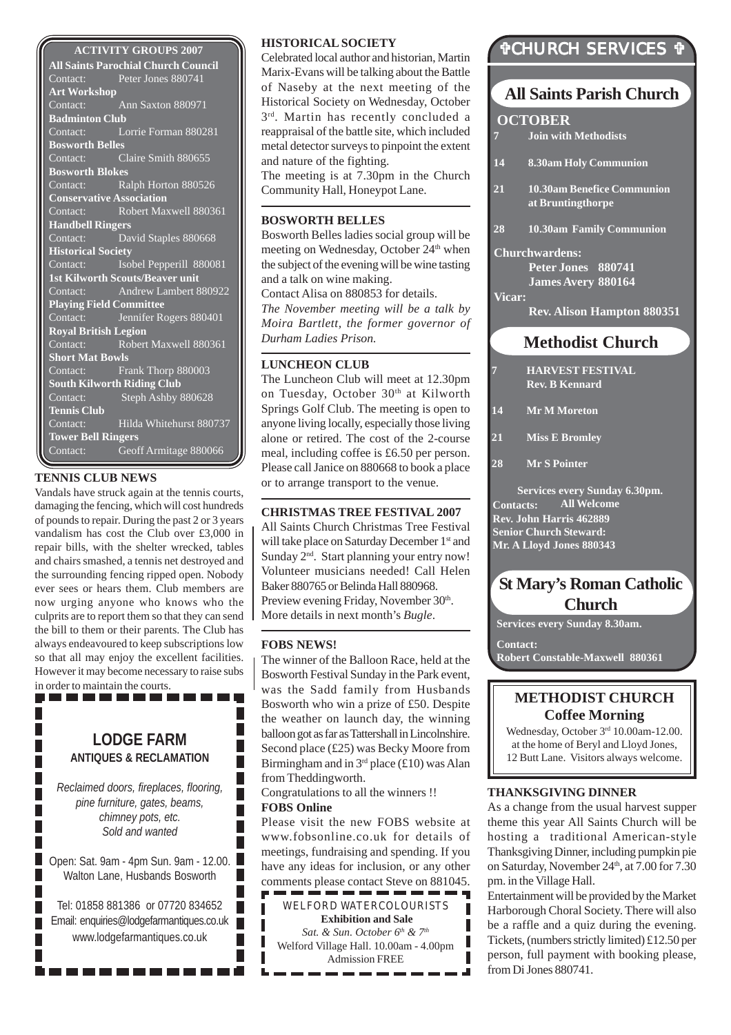#### **ACTIVITY GROUPS 2007**

**All Saints Parochial Church Council** Contact: Peter Jones 880741 **Art Workshop** Contact: Ann Saxton 880971 **Badminton Club** Contact: Lorrie Forman 880281 **Bosworth Belles** Contact: Claire Smith 880655 **Bosworth Blokes**<br>Contact: R Ralph Horton 880526 **Conservative Association**<br>Contact: Robert May Robert Maxwell 880361 **Handbell Ringers** Contact: David Staples 880668 **Historical Society** Contact: **Isobel Pepperill 880081 1st Kilworth Scouts/Beaver unit** Contact: Andrew Lambert 880922 **Playing Field Committee** Contact: Jennifer Rogers 880401 **Royal British Legion** Contact: Robert Maxwell 880361 **Short Mat Bowls** Contact: Frank Thorp 880003 **South Kilworth Riding Club** Contact: Steph Ashby 880628 **Tennis Club** Contact: Hilda Whitehurst 880737 **Tower Bell Ringers** Contact: Geoff Armitage 880066

#### **TENNIS CLUB NEWS**

Vandals have struck again at the tennis courts, damaging the fencing, which will cost hundreds of pounds to repair. During the past 2 or 3 years vandalism has cost the Club over £3,000 in repair bills, with the shelter wrecked, tables and chairs smashed, a tennis net destroyed and the surrounding fencing ripped open. Nobody ever sees or hears them. Club members are now urging anyone who knows who the culprits are to report them so that they can send the bill to them or their parents. The Club has always endeavoured to keep subscriptions low so that all may enjoy the excellent facilities. However it may become necessary to raise subs in order to maintain the courts.

### **LODGE FARM ANTIQUES & RECLAMATION**

*Reclaimed doors, fireplaces, flooring, pine furniture, gates, beams, chimney pots, etc. Sold and wanted*

Open: Sat. 9am - 4pm Sun. 9am - 12.00. Walton Lane, Husbands Bosworth

Tel: 01858 881386 or 07720 834652 Email: enquiries@lodgefarmantiques.co.uk www.lodgefarmantiques.co.uk

. . . . . . . . .

### **HISTORICAL SOCIETY**

Celebrated local author and historian, Martin Marix-Evans will be talking about the Battle of Naseby at the next meeting of the Historical Society on Wednesday, October  $3<sup>rd</sup>$ . Martin has recently concluded a reappraisal of the battle site, which included metal detector surveys to pinpoint the extent and nature of the fighting.

The meeting is at 7.30pm in the Church Community Hall, Honeypot Lane.

#### **BOSWORTH BELLES**

Bosworth Belles ladies social group will be meeting on Wednesday, October 24<sup>th</sup> when the subject of the evening will be wine tasting and a talk on wine making.

Contact Alisa on 880853 for details. *The November meeting will be a talk by Moira Bartlett, the former governor of Durham Ladies Prison.*

### **LUNCHEON CLUB**

The Luncheon Club will meet at 12.30pm on Tuesday, October 30<sup>th</sup> at Kilworth Springs Golf Club. The meeting is open to anyone living locally, especially those living alone or retired. The cost of the 2-course meal, including coffee is £6.50 per person. Please call Janice on 880668 to book a place or to arrange transport to the venue.

### **CHRISTMAS TREE FESTIVAL 2007**

All Saints Church Christmas Tree Festival will take place on Saturday December 1<sup>st</sup> and Sunday  $2<sup>nd</sup>$ . Start planning your entry now! Volunteer musicians needed! Call Helen Baker 880765 or Belinda Hall 880968. Preview evening Friday, November 30th. More details in next month's *Bugle*.

#### **FOBS NEWS!**

The winner of the Balloon Race, held at the Bosworth Festival Sunday in the Park event, was the Sadd family from Husbands Bosworth who win a prize of £50. Despite the weather on launch day, the winning balloon got as far as Tattershall in Lincolnshire. Second place (£25) was Becky Moore from Birmingham and in  $3<sup>rd</sup>$  place (£10) was Alan from Theddingworth.

Congratulations to all the winners !! **FOBS Online**

L Г Г Г

Г

Г

Г

Please visit the new FOBS website at www.fobsonline.co.uk for details of meetings, fundraising and spending. If you have any ideas for inclusion, or any other comments please contact Steve on 881045.

| WELFORD WATERCOLOURISTS                |  |  |
|----------------------------------------|--|--|
| <b>Exhibition and Sale</b>             |  |  |
| Sat. & Sun. October $6th$ & $7th$      |  |  |
| Welford Village Hall. 10.00am - 4.00pm |  |  |
| <b>Admission FREE</b>                  |  |  |
|                                        |  |  |

## !CHURCH SERVICES !

### **All Saints Parish Church**

### **OCTOBER**

**7 Join with Methodists**

- **14 8.30am Holy Communion**
- **21 10.30am Benefice Communion at Bruntingthorpe**
- **28 10.30am Family Communion**

**Churchwardens:**

**Peter Jones 880741 James Avery 880164**

**Vicar:**

**Rev. Alison Hampton 880351**

### **Methodist Church**

- **7 HARVEST FESTIVAL Rev. B Kennard**
- **14 Mr M Moreton**
- **21 Miss E Bromley**

**28 Mr S Pointer**

**Contacts: Rev. John Harris 462889 Senior Church Steward: Mr. A Lloyd Jones 880343 Services every Sunday 6.30pm. All Welcome**

### **St Mary's Roman Catholic Church**

**Services every Sunday 8.30am.**

**Contact:**

**Robert Constable-Maxwell 880361**

### **METHODIST CHURCH Coffee Morning**

Wednesday, October 3<sup>rd</sup> 10.00am-12.00. at the home of Beryl and Lloyd Jones, 12 Butt Lane. Visitors always welcome.

#### **THANKSGIVING DINNER**

As a change from the usual harvest supper theme this year All Saints Church will be hosting a traditional American-style Thanksgiving Dinner, including pumpkin pie on Saturday, November 24<sup>th</sup>, at 7.00 for 7.30 pm. in the Village Hall.

Entertainment will be provided by the Market Harborough Choral Society. There will also be a raffle and a quiz during the evening. Tickets, (numbers strictly limited) £12.50 per person, full payment with booking please, from Di Jones 880741.